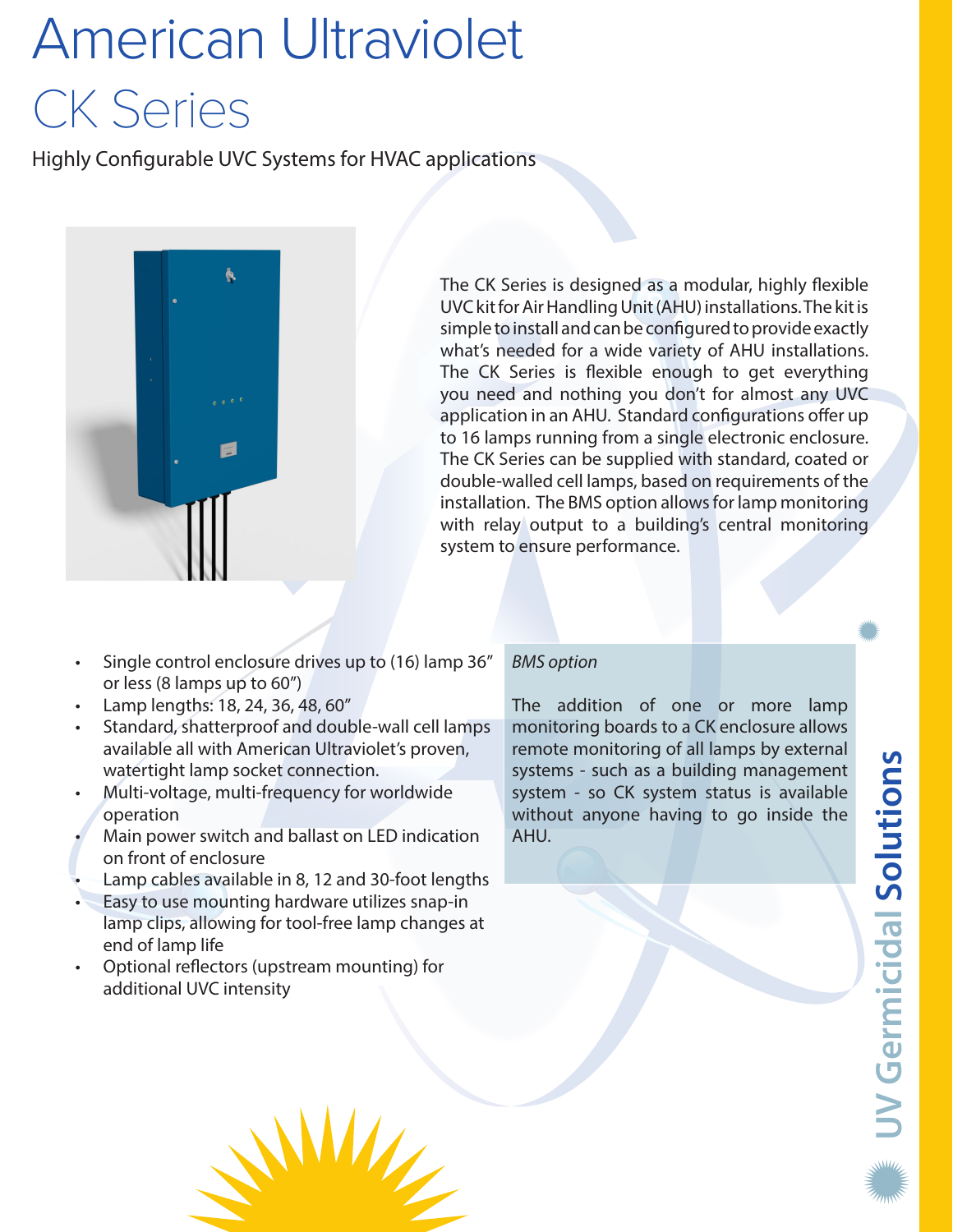# American Ultraviolet CK Series

Highly Configurable UVC Systems for HVAC applications



The CK Series is designed as a modular, highly flexible UVC kit for Air Handling Unit (AHU) installations. The kit is simple to install and can be configured to provide exactly what's needed for a wide variety of AHU installations. The CK Series is flexible enough to get everything you need and nothing you don't for almost any UVC application in an AHU. Standard configurations offer up to 16 lamps running from a single electronic enclosure. The CK Series can be supplied with standard, coated or double-walled cell lamps, based on requirements of the installation. The BMS option allows for lamp monitoring with relay output to a building's central monitoring system to ensure performance.

- Single control enclosure drives up to (16) lamp 36" or less (8 lamps up to 60")
- Lamp lengths: 18, 24, 36, 48, 60"
- Standard, shatterproof and double-wall cell lamps available all with American Ultraviolet's proven, watertight lamp socket connection.
- Multi-voltage, multi-frequency for worldwide operation
- Main power switch and ballast on LED indication on front of enclosure
- Lamp cables available in 8, 12 and 30-foot lengths
- Easy to use mounting hardware utilizes snap-in lamp clips, allowing for tool-free lamp changes at end of lamp life

W

• Optional reflectors (upstream mounting) for additional UVC intensity

#### *BMS option*

The addition of one or more lamp monitoring boards to a CK enclosure allows remote monitoring of all lamps by external systems - such as a building management system - so CK system status is available without anyone having to go inside the AHU.